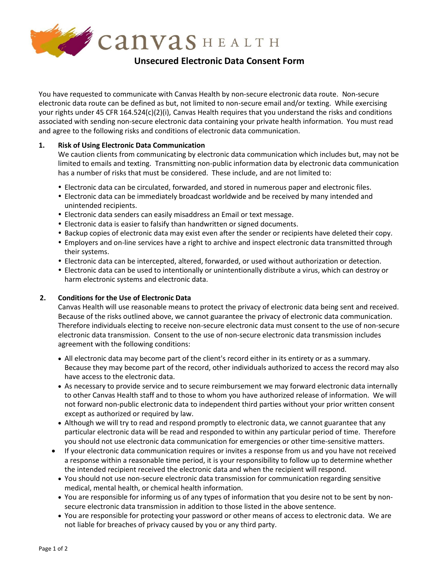

You have requested to communicate with Canvas Health by non-secure electronic data route. Non-secure electronic data route can be defined as but, not limited to non-secure email and/or texting. While exercising your rights under 45 CFR 164.524(c)(2)(i), Canvas Health requires that you understand the risks and conditions associated with sending non-secure electronic data containing your private health information. You must read and agree to the following risks and conditions of electronic data communication.

# **1. Risk of Using Electronic Data Communication**

We caution clients from communicating by electronic data communication which includes but, may not be limited to emails and texting. Transmitting non-public information data by electronic data communication has a number of risks that must be considered. These include, and are not limited to:

- Electronic data can be circulated, forwarded, and stored in numerous paper and electronic files.
- Electronic data can be immediately broadcast worldwide and be received by many intended and unintended recipients.
- Electronic data senders can easily misaddress an Email or text message.
- Electronic data is easier to falsify than handwritten or signed documents.
- Backup copies of electronic data may exist even after the sender or recipients have deleted their copy.
- Employers and on-line services have a right to archive and inspect electronic data transmitted through their systems.
- Electronic data can be intercepted, altered, forwarded, or used without authorization or detection.
- Electronic data can be used to intentionally or unintentionally distribute a virus, which can destroy or harm electronic systems and electronic data.

# **2. Conditions for the Use of Electronic Data**

Canvas Health will use reasonable means to protect the privacy of electronic data being sent and received. Because of the risks outlined above, we cannot guarantee the privacy of electronic data communication. Therefore individuals electing to receive non-secure electronic data must consent to the use of non-secure electronic data transmission. Consent to the use of non-secure electronic data transmission includes agreement with the following conditions:

- All electronic data may become part of the client's record either in its entirety or as a summary. Because they may become part of the record, other individuals authorized to access the record may also have access to the electronic data.
- As necessary to provide service and to secure reimbursement we may forward electronic data internally to other Canvas Health staff and to those to whom you have authorized release of information. We will not forward non-public electronic data to independent third parties without your prior written consent except as authorized or required by law.
- Although we will try to read and respond promptly to electronic data, we cannot guarantee that any particular electronic data will be read and responded to within any particular period of time. Therefore you should not use electronic data communication for emergencies or other time-sensitive matters.
- If your electronic data communication requires or invites a response from us and you have not received a response within a reasonable time period, it is your responsibility to follow up to determine whether the intended recipient received the electronic data and when the recipient will respond.
	- You should not use non-secure electronic data transmission for communication regarding sensitive medical, mental health, or chemical health information.
	- You are responsible for informing us of any types of information that you desire not to be sent by nonsecure electronic data transmission in addition to those listed in the above sentence.
	- You are responsible for protecting your password or other means of access to electronic data. We are not liable for breaches of privacy caused by you or any third party.